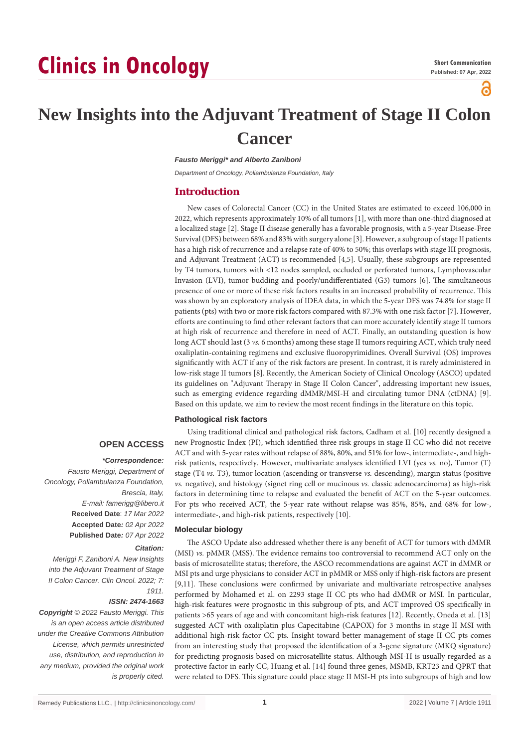# **Clinics in Oncology**

്

# **New Insights into the Adjuvant Treatment of Stage II Colon Cancer**

*Fausto Meriggi\* and Alberto Zaniboni*

*Department of Oncology, Poliambulanza Foundation, Italy*

#### **Introduction**

New cases of Colorectal Cancer (CC) in the United States are estimated to exceed 106,000 in 2022, which represents approximately 10% of all tumors [1], with more than one-third diagnosed at a localized stage [2]. Stage II disease generally has a favorable prognosis, with a 5-year Disease-Free Survival (DFS) between 68% and 83% with surgery alone [3]. However, a subgroup of stage II patients has a high risk of recurrence and a relapse rate of 40% to 50%; this overlaps with stage III prognosis, and Adjuvant Treatment (ACT) is recommended [4,5]. Usually, these subgroups are represented by T4 tumors, tumors with <12 nodes sampled, occluded or perforated tumors, Lymphovascular Invasion (LVI), tumor budding and poorly/undifferentiated (G3) tumors [6]. The simultaneous presence of one or more of these risk factors results in an increased probability of recurrence. This was shown by an exploratory analysis of IDEA data, in which the 5-year DFS was 74.8% for stage II patients (pts) with two or more risk factors compared with 87.3% with one risk factor [7]. However, efforts are continuing to find other relevant factors that can more accurately identify stage II tumors at high risk of recurrence and therefore in need of ACT. Finally, an outstanding question is how long ACT should last (3 *vs.* 6 months) among these stage II tumors requiring ACT, which truly need oxaliplatin-containing regimens and exclusive fluoropyrimidines. Overall Survival (OS) improves significantly with ACT if any of the risk factors are present. In contrast, it is rarely administered in low-risk stage II tumors [8]. Recently, the American Society of Clinical Oncology (ASCO) updated its guidelines on "Adjuvant Therapy in Stage II Colon Cancer", addressing important new issues, such as emerging evidence regarding dMMR/MSI-H and circulating tumor DNA (ctDNA) [9]. Based on this update, we aim to review the most recent findings in the literature on this topic.

#### **Pathological risk factors**

### **OPEN ACCESS**

## *\*Correspondence:*

*Fausto Meriggi, Department of Oncology, Poliambulanza Foundation, Brescia, Italy, E-mail: famerigg@libero.it* **Received Date**: *17 Mar 2022* **Accepted Date***: 02 Apr 2022* **Published Date***: 07 Apr 2022*

#### *Citation:*

*Meriggi F, Zaniboni A. New Insights into the Adjuvant Treatment of Stage II Colon Cancer. Clin Oncol. 2022; 7: 1911.*

#### *ISSN: 2474-1663*

*Copyright © 2022 Fausto Meriggi. This is an open access article distributed under the Creative Commons Attribution License, which permits unrestricted use, distribution, and reproduction in any medium, provided the original work is properly cited.*

Using traditional clinical and pathological risk factors, Cadham et al. [10] recently designed a new Prognostic Index (PI), which identified three risk groups in stage II CC who did not receive ACT and with 5-year rates without relapse of 88%, 80%, and 51% for low-, intermediate-, and highrisk patients, respectively. However, multivariate analyses identified LVI (yes *vs.* no), Tumor (T) stage (T4 *vs.* T3), tumor location (ascending or transverse *vs.* descending), margin status (positive *vs.* negative), and histology (signet ring cell or mucinous *vs.* classic adenocarcinoma) as high-risk factors in determining time to relapse and evaluated the benefit of ACT on the 5-year outcomes. For pts who received ACT, the 5-year rate without relapse was 85%, 85%, and 68% for low-, intermediate-, and high-risk patients, respectively [10].

#### **Molecular biology**

The ASCO Update also addressed whether there is any benefit of ACT for tumors with dMMR (MSI) *vs.* pMMR (MSS). The evidence remains too controversial to recommend ACT only on the basis of microsatellite status; therefore, the ASCO recommendations are against ACT in dMMR or MSI pts and urge physicians to consider ACT in pMMR or MSS only if high-risk factors are present [9,11]. These conclusions were confirmed by univariate and multivariate retrospective analyses performed by Mohamed et al. on 2293 stage II CC pts who had dMMR or MSI. In particular, high-risk features were prognostic in this subgroup of pts, and ACT improved OS specifically in patients >65 years of age and with concomitant high-risk features [12]. Recently, Oneda et al. [13] suggested ACT with oxaliplatin plus Capecitabine (CAPOX) for 3 months in stage II MSI with additional high-risk factor CC pts. Insight toward better management of stage II CC pts comes from an interesting study that proposed the identification of a 3-gene signature (MKQ signature) for predicting prognosis based on microsatellite status. Although MSI-H is usually regarded as a protective factor in early CC, Huang et al. [14] found three genes, MSMB, KRT23 and QPRT that were related to DFS. This signature could place stage II MSI-H pts into subgroups of high and low